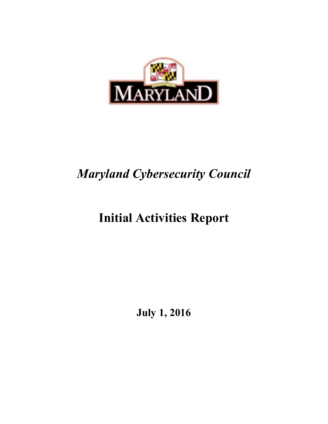

# *Maryland Cybersecurity Council*

# **Initial Activities Report**

**July 1, 2016**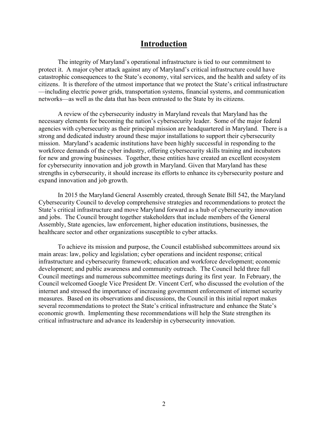#### **Introduction**

The integrity of Maryland's operational infrastructure is tied to our commitment to protect it. A major cyber attack against any of Maryland's critical infrastructure could have catastrophic consequences to the State's economy, vital services, and the health and safety of its citizens. It is therefore of the utmost importance that we protect the State's critical infrastructure —including electric power grids, transportation systems, financial systems, and communication networks—as well as the data that has been entrusted to the State by its citizens.

 A review of the cybersecurity industry in Maryland reveals that Maryland has the agencies with cybersecurity as their principal mission are headquartered in Maryland. There is a for new and growing businesses. Together, these entities have created an excellent ecosystem for cybersecurity innovation and job growth in Maryland. Given that Maryland has these necessary elements for becoming the nation's cybersecurity leader. Some of the major federal strong and dedicated industry around these major installations to support their cybersecurity mission. Maryland's academic institutions have been highly successful in responding to the workforce demands of the cyber industry, offering cybersecurity skills training and incubators strengths in cybersecurity, it should increase its efforts to enhance its cybersecurity posture and expand innovation and job growth.

In 2015 the Maryland General Assembly created, through Senate Bill 542, the Maryland Cybersecurity Council to develop comprehensive strategies and recommendations to protect the State's critical infrastructure and move Maryland forward as a hub of cybersecurity innovation and jobs. The Council brought together stakeholders that include members of the General Assembly, State agencies, law enforcement, higher education institutions, businesses, the healthcare sector and other organizations susceptible to cyber attacks.

To achieve its mission and purpose, the Council established subcommittees around six main areas: law, policy and legislation; cyber operations and incident response; critical infrastructure and cybersecurity framework; education and workforce development; economic development; and public awareness and community outreach. The Council held three full Council meetings and numerous subcommittee meetings during its first year. In February, the Council welcomed Google Vice President Dr. Vincent Cerf, who discussed the evolution of the internet and stressed the importance of increasing government enforcement of internet security measures. Based on its observations and discussions, the Council in this initial report makes several recommendations to protect the State's critical infrastructure and enhance the State's economic growth. Implementing these recommendations will help the State strengthen its critical infrastructure and advance its leadership in cybersecurity innovation.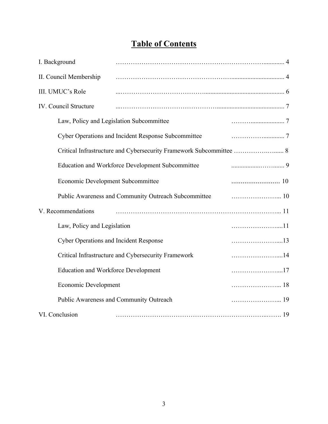## **Table of Contents**

| I. Background                                                       |                                                     |  |
|---------------------------------------------------------------------|-----------------------------------------------------|--|
| II. Council Membership                                              |                                                     |  |
| III. UMUC's Role                                                    |                                                     |  |
| <b>IV.</b> Council Structure                                        |                                                     |  |
|                                                                     | Law, Policy and Legislation Subcommittee            |  |
|                                                                     | Cyber Operations and Incident Response Subcommittee |  |
| Critical Infrastructure and Cybersecurity Framework Subcommittee  8 |                                                     |  |
|                                                                     | Education and Workforce Development Subcommittee    |  |
| Economic Development Subcommittee                                   |                                                     |  |
| Public Awareness and Community Outreach Subcommittee                |                                                     |  |
| V. Recommendations                                                  |                                                     |  |
| Law, Policy and Legislation                                         |                                                     |  |
| <b>Cyber Operations and Incident Response</b>                       |                                                     |  |
| Critical Infrastructure and Cybersecurity Framework                 |                                                     |  |
| <b>Education and Workforce Development</b>                          |                                                     |  |
| Economic Development                                                |                                                     |  |
|                                                                     | Public Awareness and Community Outreach             |  |
| VI. Conclusion                                                      |                                                     |  |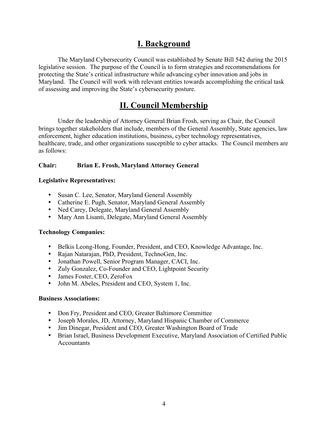## **I. Background**

 The Maryland Cybersecurity Council was established by Senate Bill 542 during the 2015 protecting the State's critical infrastructure while advancing cyber innovation and jobs in Maryland. The Council will work with relevant entities towards accomplishing the critical task of assessing and improving the State's cybersecurity posture. legislative session. The purpose of the Council is to form strategies and recommendations for

## **II. Council Membership**

 as follows: Under the leadership of Attorney General Brian Frosh, serving as Chair, the Council brings together stakeholders that include, members of the General Assembly, State agencies, law enforcement, higher education institutions, business, cyber technology representatives, healthcare, trade, and other organizations susceptible to cyber attacks. The Council members are

#### Chair: Brian E. Frosh, Maryland Attorney General

#### **Legislative Representatives:**

- Susan C. Lee, Senator, Maryland General Assembly
- Catherine E. Pugh, Senator, Maryland General Assembly
- Ned Carey, Delegate, Maryland General Assembly
- Mary Ann Lisanti, Delegate, Maryland General Assembly

#### **Technology Companies:**

- Belkis Leong-Hong, Founder, President, and CEO, Knowledge Advantage, Inc.
- Rajan Natarajan, PhD, President, TechnoGen, Inc.
- Jonathan Powell, Senior Program Manager, CACI, Inc.
- Zuly Gonzalez, Co-Founder and CEO, Lightpoint Security
- James Foster, CEO, ZeroFox
- John M. Abeles, President and CEO, System 1, Inc.

#### **Business Associations:**

- Don Fry, President and CEO, Greater Baltimore Committee
- Joseph Morales, JD, Attorney, Maryland Hispanic Chamber of Commerce
- Jim Dinegar, President and CEO, Greater Washington Board of Trade
- Brian Israel, Business Development Executive, Maryland Association of Certified Public **Accountants**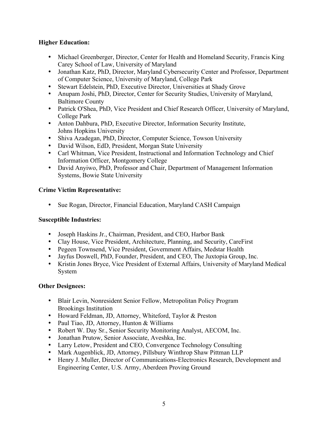#### **Higher Education:**

- Michael Greenberger, Director, Center for Health and Homeland Security, Francis King Carey School of Law, University of Maryland
- Jonathan Katz, PhD, Director, Maryland Cybersecurity Center and Professor, Department of Computer Science, University of Maryland, College Park
- Stewart Edelstein, PhD, Executive Director, Universities at Shady Grove
- Anupam Joshi, PhD, Director, Center for Security Studies, University of Maryland, Baltimore County
- Patrick O'Shea, PhD, Vice President and Chief Research Officer, University of Maryland, College Park
- Anton Dahbura, PhD, Executive Director, Information Security Institute, Johns Hopkins University
- Shiva Azadegan, PhD, Director, Computer Science, Towson University
- David Wilson, EdD, President, Morgan State University
- Carl Whitman, Vice President, Instructional and Information Technology and Chief Information Officer, Montgomery College
- David Anyiwo, PhD, Professor and Chair, Department of Management Information Systems, Bowie State University

#### **Crime Victim Representative:**

• Sue Rogan, Director, Financial Education, Maryland CASH Campaign

#### **Susceptible Industries:**

- Joseph Haskins Jr., Chairman, President, and CEO, Harbor Bank
- Clay House, Vice President, Architecture, Planning, and Security, CareFirst
- Pegeen Townsend, Vice President, Government Affairs, Medstar Health
- Jayfus Doswell, PhD, Founder, President, and CEO, The Juxtopia Group, Inc.
- Kristin Jones Bryce, Vice President of External Affairs, University of Maryland Medical System

#### **Other Designees:**

- Blair Levin, Nonresident Senior Fellow, Metropolitan Policy Program Brookings Institution
- Howard Feldman, JD, Attorney, Whiteford, Taylor & Preston
- Paul Tiao, JD, Attorney, Hunton & Williams
- Robert W. Day Sr., Senior Security Monitoring Analyst, AECOM, Inc.
- Jonathan Prutow, Senior Associate, Aveshka, Inc.
- Larry Letow, President and CEO, Convergence Technology Consulting
- Mark Augenblick, JD, Attorney, Pillsbury Winthrop Shaw Pittman LLP
- Henry J. Muller, Director of Communications-Electronics Research, Development and Engineering Center, U.S. Army, Aberdeen Proving Ground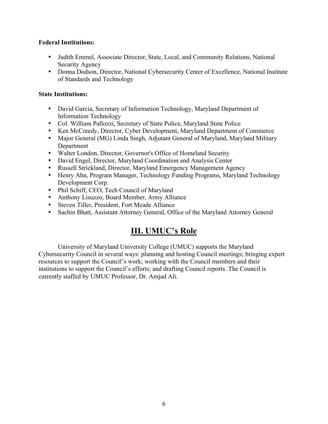#### **Federal Institutions:**

- Judith Emmel, Associate Director, State, Local, and Community Relations, National Security Agency
- Donna Dodson, Director, National Cybersecurity Center of Excellence, National Institute of Standards and Technology

#### **State Institutions:**

- David Garcia, Secretary of Information Technology, Maryland Department of Information Technology
- Col. William Pallozzi, Secretary of State Police, Maryland State Police
- Ken McCreedy, Director, Cyber Development, Maryland Department of Commerce
- Major General (MG) Linda Singh, Adjutant General of Maryland, Maryland Military Department
- Walter London, Director, Governor's Office of Homeland Security
- David Engel, Director, Maryland Coordination and Analysis Center
- Russell Strickland, Director, Maryland Emergency Management Agency
- Henry Ahn, Program Manager, Technology Funding Programs, Maryland Technology Development Corp.
- Phil Schiff, CEO, Tech Council of Maryland
- Anthony Lisuzzo, Board Member, Army Alliance
- Steven Tiller, President, Fort Meade Alliance
- Sachin Bhatt, Assistant Attorney General, Office of the Maryland Attorney General

## **III. UMUC's Role**

University of Maryland University College (UMUC) supports the Maryland Cybersecurity Council in several ways: planning and hosting Council meetings; bringing expert resources to support the Council's work; working with the Council members and their institutions to support the Council's efforts; and drafting Council reports. The Council is currently staffed by UMUC Professor, Dr. Amjad Ali.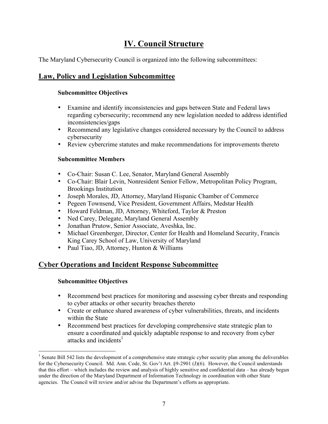## **IV. Council Structure**

The Maryland Cybersecurity Council is organized into the following subcommittees:

### **Law, Policy and Legislation Subcommittee**

#### **Subcommittee Objectives**

- inconsistencies/gaps • Examine and identify inconsistencies and gaps between State and Federal laws regarding cybersecurity; recommend any new legislation needed to address identified
- Recommend any legislative changes considered necessary by the Council to address cybersecurity
- Review cybercrime statutes and make recommendations for improvements thereto

#### **Subcommittee Members**

- Co-Chair: Susan C. Lee, Senator, Maryland General Assembly
- Co-Chair: Blair Levin, Nonresident Senior Fellow, Metropolitan Policy Program, Brookings Institution
- Joseph Morales, JD, Attorney, Maryland Hispanic Chamber of Commerce
- Pegeen Townsend, Vice President, Government Affairs, Medstar Health
- Howard Feldman, JD, Attorney, Whiteford, Taylor & Preston
- Ned Carey, Delegate, Maryland General Assembly
- Jonathan Prutow, Senior Associate, Aveshka, Inc.
- Michael Greenberger, Director, Center for Health and Homeland Security, Francis King Carey School of Law, University of Maryland
- Paul Tiao, JD, Attorney, Hunton & Williams

### **Cyber Operations and Incident Response Subcommittee**

#### **Subcommittee Objectives**

- Recommend best practices for monitoring and assessing cyber threats and responding to cyber attacks or other security breaches thereto
- Create or enhance shared awareness of cyber vulnerabilities, threats, and incidents within the State
- Recommend best practices for developing comprehensive state strategic plan to ensure a coordinated and quickly adaptable response to and recovery from cyber attacks and incidents $<sup>1</sup>$ </sup>

 $\overline{a}$  for the Cybersecurity Council. Md. Ann. Code, St. Gov't Art. §9-2901 (J)(6). However, the Council understands under the direction of the Maryland Department of Information Technology in coordination with other State agencies. The Council will review and/or advise the Department's efforts as appropriate.  $<sup>1</sup>$  Senate Bill 542 lists the development of a comprehensive state strategic cyber security plan among the deliverables</sup> that this effort – which includes the review and analysis of highly sensitive and confidential data – has already begun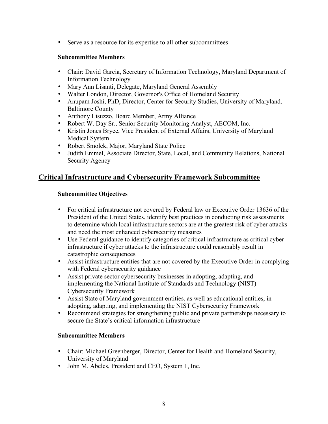• Serve as a resource for its expertise to all other subcommittees

#### **Subcommittee Members**

- Chair: David Garcia, Secretary of Information Technology, Maryland Department of Information Technology
- Mary Ann Lisanti, Delegate, Maryland General Assembly
- Walter London, Director, Governor's Office of Homeland Security
- Anupam Joshi, PhD, Director, Center for Security Studies, University of Maryland, Baltimore County
- Anthony Lisuzzo, Board Member, Army Alliance
- Robert W. Day Sr., Senior Security Monitoring Analyst, AECOM, Inc.
- Kristin Jones Bryce, Vice President of External Affairs, University of Maryland Medical System
- Robert Smolek, Major, Maryland State Police
- Judith Emmel, Associate Director, State, Local, and Community Relations, National Security Agency

#### **Critical Infrastructure and Cybersecurity Framework Subcommittee**

#### **Subcommittee Objectives**

- to determine which local infrastructure sectors are at the greatest risk of cyber attacks and need the most enhanced cybersecurity measures • For critical infrastructure not covered by Federal law or Executive Order 13636 of the President of the United States, identify best practices in conducting risk assessments
- catastrophic consequences • Use Federal guidance to identify categories of critical infrastructure as critical cyber infrastructure if cyber attacks to the infrastructure could reasonably result in
- Assist infrastructure entities that are not covered by the Executive Order in complying with Federal cybersecurity guidance
- Assist private sector cybersecurity businesses in adopting, adapting, and implementing the National Institute of Standards and Technology (NIST) Cybersecurity Framework
- Assist State of Maryland government entities, as well as educational entities, in adopting, adapting, and implementing the NIST Cybersecurity Framework
- secure the State's critical information infrastructure • Recommend strategies for strengthening public and private partnerships necessary to

#### **Subcommittee Members**

1

- Chair: Michael Greenberger, Director, Center for Health and Homeland Security, University of Maryland
- John M. Abeles, President and CEO, System 1, Inc.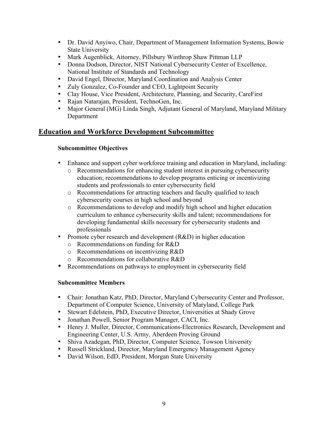- Dr. David Anyiwo, Chair, Department of Management Information Systems, Bowie State University
- Mark Augenblick, Attorney, Pillsbury Winthrop Shaw Pittman LLP
- Donna Dodson, Director, NIST National Cybersecurity Center of Excellence, National Institute of Standards and Technology
- David Engel, Director, Maryland Coordination and Analysis Center
- Zuly Gonzalez, Co-Founder and CEO, Lightpoint Security
- Clay House, Vice President, Architecture, Planning, and Security, CareFirst
- Rajan Natarajan, President, TechnoGen, Inc.
- Major General (MG) Linda Singh, Adjutant General of Maryland, Maryland Military Department

#### **Education and Workforce Development Subcommittee**

#### **Subcommittee Objectives**

- Enhance and support cyber workforce training and education in Maryland, including:
	- o Recommendations for enhancing student interest in pursuing cybersecurity education; recommendations to develop programs enticing or incentivizing students and professionals to enter cybersecurity field
	- o Recommendations for attracting teachers and faculty qualified to teach cybersecurity courses in high school and beyond
	- o Recommendations to develop and modify high school and higher education curriculum to enhance cybersecurity skills and talent; recommendations for developing fundamental skills necessary for cybersecurity students and professionals
- Promote cyber research and development (R&D) in higher education
	- o Recommendations on funding for R&D
	- o Recommendations on incentivizing R&D
	- o Recommendations for collaborative R&D
- Recommendations on pathways to employment in cybersecurity field

#### **Subcommittee Members**

- Chair: Jonathan Katz, PhD, Director, Maryland Cybersecurity Center and Professor, Department of Computer Science, University of Maryland, College Park
- Stewart Edelstein, PhD, Executive Director, Universities at Shady Grove
- Jonathan Powell, Senior Program Manager, CACI, Inc.
- Henry J. Muller, Director, Communications-Electronics Research, Development and Engineering Center, U.S. Army, Aberdeen Proving Ground
- Shiva Azadegan, PhD, Director, Computer Science, Towson University
- Russell Strickland, Director, Maryland Emergency Management Agency
- David Wilson, EdD, President, Morgan State University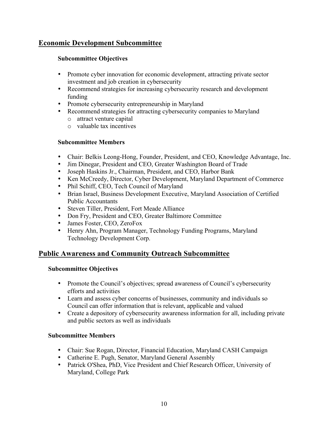#### **Economic Development Subcommittee**

#### **Subcommittee Objectives**

- Promote cyber innovation for economic development, attracting private sector investment and job creation in cybersecurity
- Recommend strategies for increasing cybersecurity research and development funding
- Promote cybersecurity entrepreneurship in Maryland
- Recommend strategies for attracting cybersecurity companies to Maryland
	- o attract venture capital
	- o valuable tax incentives

#### **Subcommittee Members**

- Chair: Belkis Leong-Hong, Founder, President, and CEO, Knowledge Advantage, Inc.
- Jim Dinegar, President and CEO, Greater Washington Board of Trade
- Joseph Haskins Jr., Chairman, President, and CEO, Harbor Bank
- Ken McCreedy, Director, Cyber Development, Maryland Department of Commerce
- Phil Schiff, CEO, Tech Council of Maryland
- Brian Israel, Business Development Executive, Maryland Association of Certified Public Accountants
- Steven Tiller, President, Fort Meade Alliance
- Don Fry, President and CEO, Greater Baltimore Committee
- James Foster, CEO, ZeroFox
- Henry Ahn, Program Manager, Technology Funding Programs, Maryland Technology Development Corp.

#### **Public Awareness and Community Outreach Subcommittee**

#### **Subcommittee Objectives**

- efforts and activities • Promote the Council's objectives; spread awareness of Council's cybersecurity
- Learn and assess cyber concerns of businesses, community and individuals so Council can offer information that is relevant, applicable and valued
- Create a depository of cybersecurity awareness information for all, including private and public sectors as well as individuals

#### **Subcommittee Members**

- Chair: Sue Rogan, Director, Financial Education, Maryland CASH Campaign
- Catherine E. Pugh, Senator, Maryland General Assembly
- Patrick O'Shea, PhD, Vice President and Chief Research Officer, University of Maryland, College Park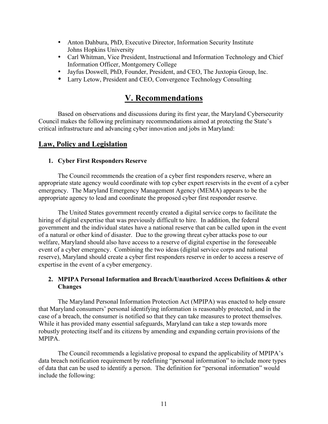- Anton Dahbura, PhD, Executive Director, Information Security Institute Johns Hopkins University
- Carl Whitman, Vice President, Instructional and Information Technology and Chief Information Officer, Montgomery College
- Jayfus Doswell, PhD, Founder, President, and CEO, The Juxtopia Group, Inc.
- Larry Letow, President and CEO, Convergence Technology Consulting

## **V. Recommendations**

 Council makes the following preliminary recommendations aimed at protecting the State's critical infrastructure and advancing cyber innovation and jobs in Maryland: Based on observations and discussions during its first year, the Maryland Cybersecurity

#### **Law, Policy and Legislation**

#### **1. Cyber First Responders Reserve**

The Council recommends the creation of a cyber first responders reserve, where an appropriate state agency would coordinate with top cyber expert reservists in the event of a cyber emergency. The Maryland Emergency Management Agency (MEMA) appears to be the appropriate agency to lead and coordinate the proposed cyber first responder reserve.

The United States government recently created a digital service corps to facilitate the hiring of digital expertise that was previously difficult to hire. In addition, the federal government and the individual states have a national reserve that can be called upon in the event of a natural or other kind of disaster. Due to the growing threat cyber attacks pose to our welfare, Maryland should also have access to a reserve of digital expertise in the foreseeable event of a cyber emergency. Combining the two ideas (digital service corps and national reserve), Maryland should create a cyber first responders reserve in order to access a reserve of expertise in the event of a cyber emergency.

#### **2. MPIPA Personal Information and Breach/Unauthorized Access Definitions & other Changes**

The Maryland Personal Information Protection Act (MPIPA) was enacted to help ensure that Maryland consumers' personal identifying information is reasonably protected, and in the case of a breach, the consumer is notified so that they can take measures to protect themselves. While it has provided many essential safeguards, Maryland can take a step towards more robustly protecting itself and its citizens by amending and expanding certain provisions of the MPIPA.

 The Council recommends a legislative proposal to expand the applicability of MPIPA's data breach notification requirement by redefining "personal information" to include more types of data that can be used to identify a person. The definition for "personal information" would include the following: include the following:<br>
11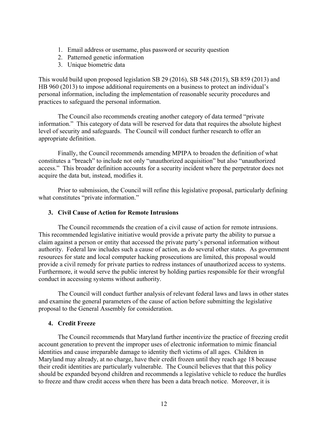- 1. Email address or username, plus password or security question
- 2. Patterned genetic information
- 3. Unique biometric data

This would build upon proposed legislation SB 29 (2016), SB 548 (2015), SB 859 (2013) and HB 960 (2013) to impose additional requirements on a business to protect an individual's personal information, including the implementation of reasonable security procedures and practices to safeguard the personal information.

The Council also recommends creating another category of data termed "private information." This category of data will be reserved for data that requires the absolute highest level of security and safeguards. The Council will conduct further research to offer an appropriate definition.

Finally, the Council recommends amending MPIPA to broaden the definition of what constitutes a "breach" to include not only "unauthorized acquisition" but also "unauthorized access." This broader definition accounts for a security incident where the perpetrator does not acquire the data but, instead, modifies it.

Prior to submission, the Council will refine this legislative proposal, particularly defining what constitutes "private information."

#### **3. Civil Cause of Action for Remote Intrusions**

 The Council recommends the creation of a civil cause of action for remote intrusions. This recommended legislative initiative would provide a private party the ability to pursue a claim against a person or entity that accessed the private party's personal information without authority. Federal law includes such a cause of action, as do several other states. As government resources for state and local computer hacking prosecutions are limited, this proposal would provide a civil remedy for private parties to redress instances of unauthorized access to systems. Furthermore, it would serve the public interest by holding parties responsible for their wrongful conduct in accessing systems without authority.

The Council will conduct further analysis of relevant federal laws and laws in other states and examine the general parameters of the cause of action before submitting the legislative proposal to the General Assembly for consideration.

#### **4. Credit Freeze**

 Maryland may already, at no charge, have their credit frozen until they reach age 18 because The Council recommends that Maryland further incentivize the practice of freezing credit account generation to prevent the improper uses of electronic information to mimic financial identities and cause irreparable damage to identity theft victims of all ages. Children in their credit identities are particularly vulnerable. The Council believes that that this policy should be expanded beyond children and recommends a legislative vehicle to reduce the hurdles to freeze and thaw credit access when there has been a data breach notice. Moreover, it is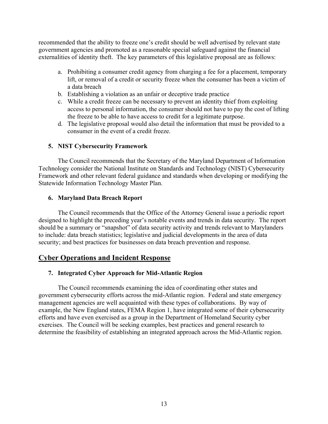recommended that the ability to freeze one's credit should be well advertised by relevant state government agencies and promoted as a reasonable special safeguard against the financial externalities of identity theft. The key parameters of this legislative proposal are as follows:

- a. Prohibiting a consumer credit agency from charging a fee for a placement, temporary lift, or removal of a credit or security freeze when the consumer has been a victim of a data breach
- b. Establishing a violation as an unfair or deceptive trade practice
- c. While a credit freeze can be necessary to prevent an identity thief from exploiting access to personal information, the consumer should not have to pay the cost of lifting the freeze to be able to have access to credit for a legitimate purpose.
- d. The legislative proposal would also detail the information that must be provided to a consumer in the event of a credit freeze.

#### **5. NIST Cybersecurity Framework**

 The Council recommends that the Secretary of the Maryland Department of Information Technology consider the National Institute on Standards and Technology (NIST) Cybersecurity Framework and other relevant federal guidance and standards when developing or modifying the Statewide Information Technology Master Plan.

#### **6. Maryland Data Breach Report**

The Council recommends that the Office of the Attorney General issue a periodic report designed to highlight the preceding year's notable events and trends in data security. The report should be a summary or "snapshot" of data security activity and trends relevant to Marylanders to include: data breach statistics; legislative and judicial developments in the area of data security; and best practices for businesses on data breach prevention and response.

#### **Cyber Operations and Incident Response**

#### **7. Integrated Cyber Approach for Mid-Atlantic Region**

 management agencies are well acquainted with these types of collaborations. By way of The Council recommends examining the idea of coordinating other states and government cybersecurity efforts across the mid-Atlantic region. Federal and state emergency example, the New England states, FEMA Region 1, have integrated some of their cybersecurity efforts and have even exercised as a group in the Department of Homeland Security cyber exercises. The Council will be seeking examples, best practices and general research to determine the feasibility of establishing an integrated approach across the Mid-Atlantic region.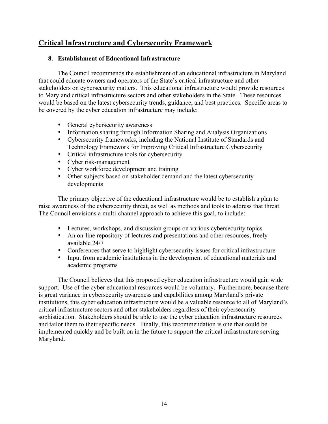#### **Critical Infrastructure and Cybersecurity Framework**

#### **8. Establishment of Educational Infrastructure**

 be covered by the cyber education infrastructure may include: The Council recommends the establishment of an educational infrastructure in Maryland that could educate owners and operators of the State's critical infrastructure and other stakeholders on cybersecurity matters. This educational infrastructure would provide resources to Maryland critical infrastructure sectors and other stakeholders in the State. These resources would be based on the latest cybersecurity trends, guidance, and best practices. Specific areas to

- General cybersecurity awareness
- Information sharing through Information Sharing and Analysis Organizations
- Cybersecurity frameworks, including the National Institute of Standards and Technology Framework for Improving Critical Infrastructure Cybersecurity
- Critical infrastructure tools for cybersecurity
- Cyber risk-management
- Cyber workforce development and training
- Other subjects based on stakeholder demand and the latest cybersecurity developments

The primary objective of the educational infrastructure would be to establish a plan to raise awareness of the cybersecurity threat, as well as methods and tools to address that threat. The Council envisions a multi-channel approach to achieve this goal, to include:

- Lectures, workshops, and discussion groups on various cybersecurity topics
- An on-line repository of lectures and presentations and other resources, freely available 24/7
- Conferences that serve to highlight cybersecurity issues for critical infrastructure
- Input from academic institutions in the development of educational materials and academic programs

The Council believes that this proposed cyber education infrastructure would gain wide support. Use of the cyber educational resources would be voluntary. Furthermore, because there is great variance in cybersecurity awareness and capabilities among Maryland's private institutions, this cyber education infrastructure would be a valuable resource to all of Maryland's critical infrastructure sectors and other stakeholders regardless of their cybersecurity sophistication. Stakeholders should be able to use the cyber education infrastructure resources and tailor them to their specific needs. Finally, this recommendation is one that could be implemented quickly and be built on in the future to support the critical infrastructure serving Maryland.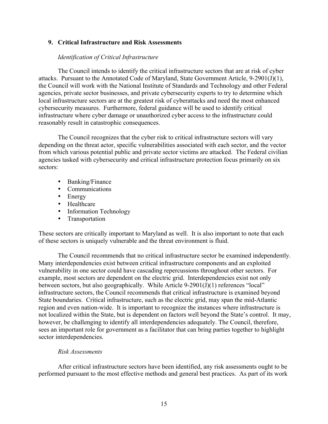#### **9. Critical Infrastructure and Risk Assessments**

#### *Identification of Critical Infrastructure*

 the Council will work with the National Institute of Standards and Technology and other Federal The Council intends to identify the critical infrastructure sectors that are at risk of cyber attacks. Pursuant to the Annotated Code of Maryland, State Government Article, 9-2901(J)(1), agencies, private sector businesses, and private cybersecurity experts to try to determine which local infrastructure sectors are at the greatest risk of cyberattacks and need the most enhanced cybersecurity measures. Furthermore, federal guidance will be used to identify critical infrastructure where cyber damage or unauthorized cyber access to the infrastructure could reasonably result in catastrophic consequences.

 sectors: The Council recognizes that the cyber risk to critical infrastructure sectors will vary depending on the threat actor, specific vulnerabilities associated with each sector, and the vector from which various potential public and private sector victims are attacked. The Federal civilian agencies tasked with cybersecurity and critical infrastructure protection focus primarily on six

- Banking/Finance
- Communications
- Energy
- Healthcare
- Information Technology
- Transportation

These sectors are critically important to Maryland as well. It is also important to note that each of these sectors is uniquely vulnerable and the threat environment is fluid.

 The Council recommends that no critical infrastructure sector be examined independently. vulnerability in one sector could have cascading repercussions throughout other sectors. For example, most sectors are dependent on the electric grid. Interdependencies exist not only not localized within the State, but is dependent on factors well beyond the State's control. It may, Many interdependencies exist between critical infrastructure components and an exploited between sectors, but also geographically. While Article 9-2901(J)(1) references "local" infrastructure sectors, the Council recommends that critical infrastructure is examined beyond State boundaries. Critical infrastructure, such as the electric grid, may span the mid-Atlantic region and even nation-wide. It is important to recognize the instances where infrastructure is however, be challenging to identify all interdependencies adequately. The Council, therefore, sees an important role for government as a facilitator that can bring parties together to highlight sector interdependencies.

#### *Risk Assessments*

After critical infrastructure sectors have been identified, any risk assessments ought to be performed pursuant to the most effective methods and general best practices. As part of its work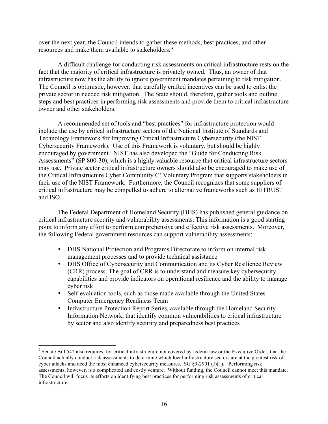resources and make them available to stakeholders.<sup>2</sup> over the next year, the Council intends to gather these methods, best practices, and other

A difficult challenge for conducting risk assessments on critical infrastructure rests on the fact that the majority of critical infrastructure is privately owned. Thus, an owner of that infrastructure now has the ability to ignore government mandates pertaining to risk mitigation. The Council is optimistic, however, that carefully crafted incentives can be used to enlist the private sector in needed risk mitigation. The State should, therefore, gather tools and outline steps and best practices in performing risk assessments and provide them to critical infrastructure owner and other stakeholders.

A recommended set of tools and "best practices" for infrastructure protection would include the use by critical infrastructure sectors of the National Institute of Standards and Technology Framework for Improving Critical Infrastructure Cybersecurity (the NIST Cybersecurity Framework). Use of this Framework is voluntary, but should be highly encouraged by government. NIST has also developed the "Guide for Conducting Risk Assessments" (SP 800-30), which is a highly valuable resource that critical infrastructure sectors may use. Private sector critical infrastructure owners should also be encouraged to make use of the Critical Infrastructure Cyber Community  $C<sup>3</sup>$  Voluntary Program that supports stakeholders in their use of the NIST Framework. Furthermore, the Council recognizes that some suppliers of critical infrastructure may be compelled to adhere to alternative frameworks such as HiTRUST and ISO.

The Federal Department of Homeland Security (DHS) has published general guidance on critical infrastructure security and vulnerability assessments. This information is a good starting point to inform any effort to perform comprehensive and effective risk assessments. Moreover, the following Federal government resources can support vulnerability assessments:

- DHS National Protection and Programs Directorate to inform on internal risk management processes and to provide technical assistance
- DHS Office of Cybersecurity and Communication and its Cyber Resilience Review (CRR) process. The goal of CRR is to understand and measure key cybersecurity capabilities and provide indicators on operational resilience and the ability to manage cyber risk
- Self-evaluation tools, such as those made available through the United States Computer Emergency Readiness Team
- Infrastructure Protection Report Series, available through the Homeland Security Information Network, that identify common vulnerabilities to critical infrastructure by sector and also identify security and preparedness best practices

 $\overline{a}$ 

 Council actually conduct risk assessments to determine which local infrastructure sectors are at the greatest risk of cyber attacks and need the most enhanced cybersecurity measures. SG  $\S 9-2901$  (J)(1). Performing risk assessments, however, is a complicated and costly venture. Without funding, the Council cannot meet this mandate. The Council will focus its efforts on identifying best practices for performing risk assessments of critical  $2^2$  Senate Bill 542 also requires, for critical infrastructure not covered by federal law or the Executive Order, that the infrastructure.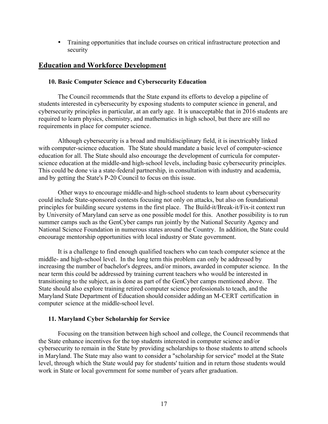• Training opportunities that include courses on critical infrastructure protection and security

#### **Education and Workforce Development**

#### **10. Basic Computer Science and Cybersecurity Education**

The Council recommends that the State expand its efforts to develop a pipeline of students interested in cybersecurity by exposing students to computer science in general, and cybersecurity principles in particular, at an early age. It is unacceptable that in 2016 students are required to learn physics, chemistry, and mathematics in high school, but there are still no requirements in place for computer science.

education for all. The State should also encourage the development of curricula for computer-Although cybersecurity is a broad and multidisciplinary field, it is inextricably linked with computer-science education. The State should mandate a basic level of computer-science science education at the middle-and high-school levels, including basic cybersecurity principles. This could be done via a state-federal partnership, in consultation with industry and academia, and by getting the State's P-20 Council to focus on this issue.

Other ways to encourage middle-and high-school students to learn about cybersecurity could include State-sponsored contests focusing not only on attacks, but also on foundational principles for building secure systems in the first place. The Build-it/Break-it/Fix-it context run by University of Maryland can serve as one possible model for this. Another possibility is to run summer camps such as the GenCyber camps run jointly by the National Security Agency and National Science Foundation in numerous states around the Country. In addition, the State could encourage mentorship opportunities with local industry or State government.

 increasing the number of bachelor's degrees, and/or minors, awarded in computer science. In the transitioning to the subject, as is done as part of the GenCyber camps mentioned above. The State should also explore training retired computer science professionals to teach, and the Maryland State Department of Education should consider adding an M-CERT certification in computer science at the middle-school level. It is a challenge to find enough qualified teachers who can teach computer science at the middle- and high-school level. In the long term this problem can only be addressed by near term this could be addressed by training current teachers who would be interested in

#### **11. Maryland Cyber Scholarship for Service**

 the State enhance incentives for the top students interested in computer science and/or Focusing on the transition between high school and college, the Council recommends that cybersecurity to remain in the State by providing scholarships to those students to attend schools in Maryland. The State may also want to consider a "scholarship for service" model at the State level, through which the State would pay for students' tuition and in return those students would work in State or local government for some number of years after graduation.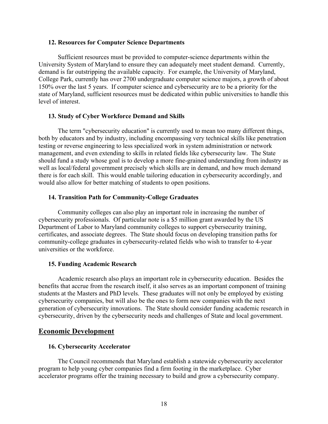#### **12. Resources for Computer Science Departments**

Sufficient resources must be provided to computer-science departments within the University System of Maryland to ensure they can adequately meet student demand. Currently, demand is far outstripping the available capacity. For example, the University of Maryland, College Park, currently has over 2700 undergraduate computer science majors, a growth of about 150% over the last 5 years. If computer science and cybersecurity are to be a priority for the state of Maryland, sufficient resources must be dedicated within public universities to handle this level of interest.

#### **13. Study of Cyber Workforce Demand and Skills**

 management, and even extending to skills in related fields like cybersecurity law. The State The term "cybersecurity education" is currently used to mean too many different things, both by educators and by industry, including encompassing very technical skills like penetration testing or reverse engineering to less specialized work in system administration or network should fund a study whose goal is to develop a more fine-grained understanding from industry as well as local/federal government precisely which skills are in demand, and how much demand there is for each skill. This would enable tailoring education in cybersecurity accordingly, and would also allow for better matching of students to open positions.

#### **14. Transition Path for Community-College Graduates**

Community colleges can also play an important role in increasing the number of cybersecurity professionals. Of particular note is a \$5 million grant awarded by the US Department of Labor to Maryland community colleges to support cybersecurity training, certificates, and associate degrees. The State should focus on developing transition paths for community-college graduates in cybersecurity-related fields who wish to transfer to 4-year universities or the workforce.

#### **15. Funding Academic Research**

 Academic research also plays an important role in cybersecurity education. Besides the benefits that accrue from the research itself, it also serves as an important component of training students at the Masters and PhD levels. These graduates will not only be employed by existing cybersecurity companies, but will also be the ones to form new companies with the next generation of cybersecurity innovations. The State should consider funding academic research in cybersecurity, driven by the cybersecurity needs and challenges of State and local government.

#### **Economic Development**

#### **16. Cybersecurity Accelerator**

The Council recommends that Maryland establish a statewide cybersecurity accelerator program to help young cyber companies find a firm footing in the marketplace. Cyber accelerator programs offer the training necessary to build and grow a cybersecurity company.